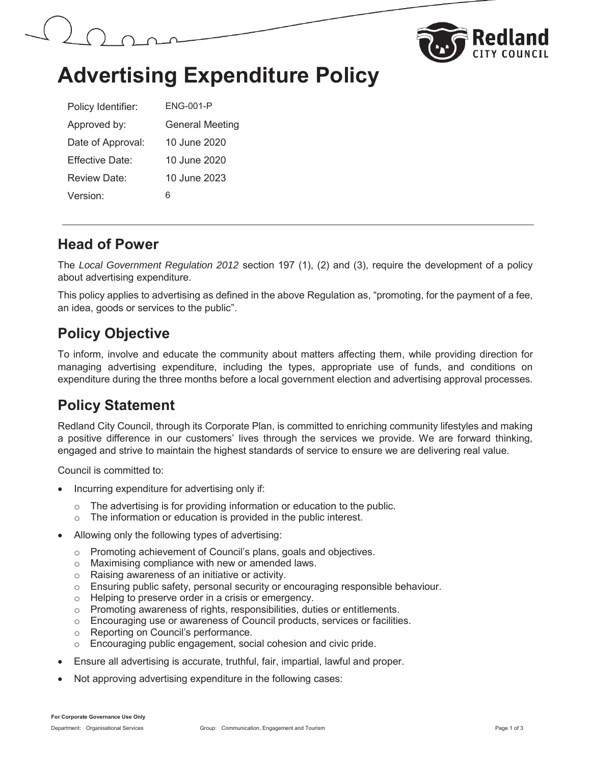



## **Advertising Expenditure Policy**

| Policy Identifier:   | ENG-001-P              |
|----------------------|------------------------|
| Approved by:         | <b>General Meeting</b> |
| Date of Approval:    | 10 June 2020           |
| Fffective Date:      | 10 June 2020           |
| Review Date:         | 10 June 2023           |
| Version <sup>-</sup> | 6                      |

#### **Head of Power**

The *Local Government Regulation 2012* section 197 (1), (2) and (3), require the development of a policy about advertising expenditure.

This policy applies to advertising as defined in the above Regulation as, "promoting, for the payment of a fee, an idea, goods or services to the public".

#### **Policy Objective**

To inform, involve and educate the community about matters affecting them, while providing direction for managing advertising expenditure, including the types, appropriate use of funds, and conditions on expenditure during the three months before a local government election and advertising approval processes.

### **Policy Statement**

Redland City Council, through its Corporate Plan, is committed to enriching community lifestyles and making a positive difference in our customers' lives through the services we provide. We are forward thinking, engaged and strive to maintain the highest standards of service to ensure we are delivering real value.

Council is committed to:

- Incurring expenditure for advertising only if:
	- $\circ$  The advertising is for providing information or education to the public.
	- $\circ$  The information or education is provided in the public interest.
- Allowing only the following types of advertising:
	- o Promoting achievement of Council's plans, goals and objectives.
	- o Maximising compliance with new or amended laws.
	- o Raising awareness of an initiative or activity.
	- $\circ$  Ensuring public safety, personal security or encouraging responsible behaviour.
	- o Helping to preserve order in a crisis or emergency.
	- o Promoting awareness of rights, responsibilities, duties or entitlements.
	- $\circ$  Encouraging use or awareness of Council products, services or facilities.
	- o Reporting on Council's performance.
	- o Encouraging public engagement, social cohesion and civic pride.
- x Ensure all advertising is accurate, truthful, fair, impartial, lawful and proper.
- Not approving advertising expenditure in the following cases: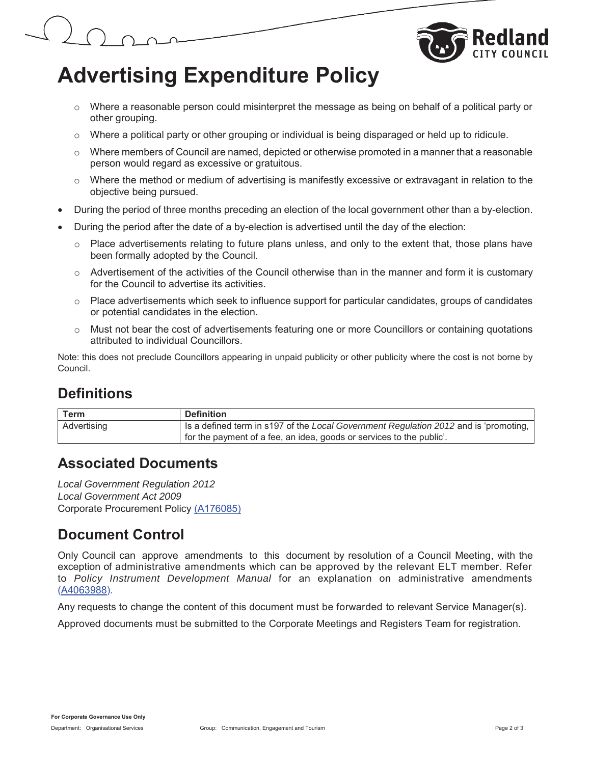

## **Advertising Expenditure Policy**

- $\circ$  Where a reasonable person could misinterpret the message as being on behalf of a political party or other grouping.
- $\circ$  Where a political party or other grouping or individual is being disparaged or held up to ridicule.
- $\circ$  Where members of Council are named, depicted or otherwise promoted in a manner that a reasonable person would regard as excessive or gratuitous.
- $\circ$  Where the method or medium of advertising is manifestly excessive or extravagant in relation to the objective being pursued.
- During the period of three months preceding an election of the local government other than a by-election.
- During the period after the date of a by-election is advertised until the day of the election:
	- o Place advertisements relating to future plans unless, and only to the extent that, those plans have been formally adopted by the Council.
	- $\circ$  Advertisement of the activities of the Council otherwise than in the manner and form it is customary for the Council to advertise its activities.
	- $\circ$  Place advertisements which seek to influence support for particular candidates, groups of candidates or potential candidates in the election.
	- o Must not bear the cost of advertisements featuring one or more Councillors or containing quotations attributed to individual Councillors.

Note: this does not preclude Councillors appearing in unpaid publicity or other publicity where the cost is not borne by Council.

### **Definitions**

| <b>Term</b> | <b>Definition</b>                                                                    |
|-------------|--------------------------------------------------------------------------------------|
| Advertising | Is a defined term in s197 of the Local Government Regulation 2012 and is 'promoting, |
|             | for the payment of a fee, an idea, goods or services to the public'.                 |

#### **Associated Documents**

*Local Government Regulation 2012 Local Government Act 2009* Corporate Procurement Policy (A176085)

#### **Document Control**

Only Council can approve amendments to this document by resolution of a Council Meeting, with the exception of administrative amendments which can be approved by the relevant ELT member. Refer to *Policy Instrument Development Manual* for an explanation on administrative amendments (A4063988).

Any requests to change the content of this document must be forwarded to relevant Service Manager(s).

Approved documents must be submitted to the Corporate Meetings and Registers Team for registration.